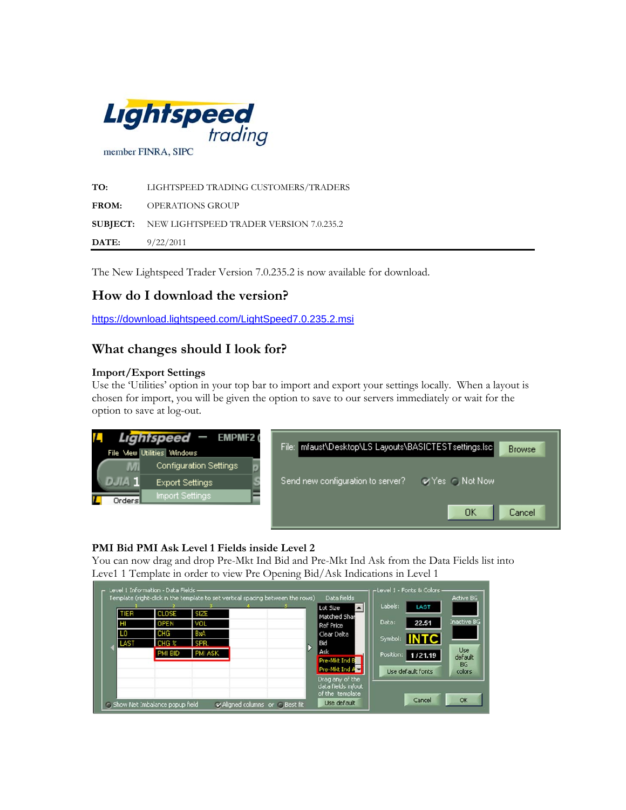

**TO:** LIGHTSPEED TRADING CUSTOMERS/TRADERS **FROM:** OPERATIONS GROUP **SUBJECT:** NEW LIGHTSPEED TRADER VERSION 7.0.235.2 **DATE:** 9/22/2011

The New Lightspeed Trader Version 7.0.235.2 is now available for download.

# **How do I download the version?**

<https://download.lightspeed.com/LightSpeed7.0.235.2.msi>

# **What changes should I look for?**

## **Import/Export Settings**

Use the 'Utilities' option in your top bar to import and export your settings locally. When a layout is chosen for import, you will be given the option to save to our servers immediately or wait for the option to save at log-out.



# **PMI Bid PMI Ask Level 1 Fields inside Level 2**

You can now drag and drop Pre-Mkt Ind Bid and Pre-Mkt Ind Ask from the Data Fields list into Leve1 1 Template in order to view Pre Opening Bid/Ask Indications in Level 1

| TIER | <b>CLOSE</b> | SIZE    |  | $\left  \cdot \right $<br>Lot Size<br>Matched Shar | Labels:<br>LAST                            |
|------|--------------|---------|--|----------------------------------------------------|--------------------------------------------|
| HI   | OPEN         | VOL     |  | Ref Price                                          | Inactive BG<br>Data:<br>22.51              |
| LO.  | CHG          | BxA     |  | Clear Delta                                        |                                            |
| LAST | CHG %        | SPR.    |  | Bid                                                | Symbol: INTC                               |
|      | PMI BID      | PMI ASK |  | Ask                                                | <b>Use</b><br>Position: 1/21.19<br>default |
|      |              |         |  | Pre-Mkt Ind B                                      | <b>BG</b>                                  |
|      |              |         |  | Pre-Mkt Ind A                                      | Use default fonts<br>colors                |
|      |              |         |  | Drag any of the<br>data fields in/out              |                                            |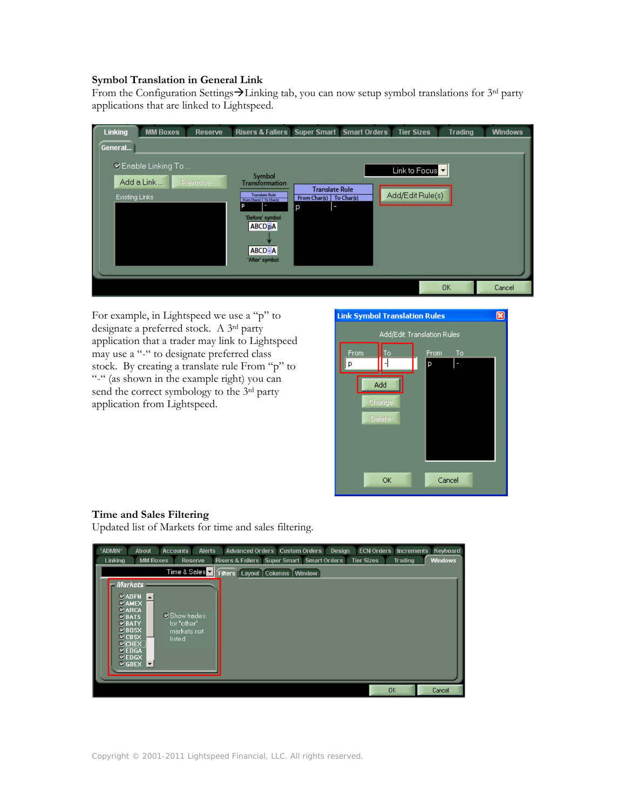### **Symbol Translation in General Link**

From the Configuration Settings $\rightarrow$ Linking tab, you can now setup symbol translations for 3rd party applications that are linked to Lightspeed.

| Linking | <b>MM Boxes</b>                                                                                                                                                                                                                                                                                                                                        | <b>Reserve</b> | Risers & Fallers Super Smart Smart Orders |  |  | <b>Tier Sizes</b> | <b>Trading</b> | <b>Windows</b> |  |  |
|---------|--------------------------------------------------------------------------------------------------------------------------------------------------------------------------------------------------------------------------------------------------------------------------------------------------------------------------------------------------------|----------------|-------------------------------------------|--|--|-------------------|----------------|----------------|--|--|
| General |                                                                                                                                                                                                                                                                                                                                                        |                |                                           |  |  |                   |                |                |  |  |
|         | V Enable Linking To<br>Link to Focus<br>Symbol<br>Add a Link<br>Plemove<br><b>Transformation</b><br><b>Translate Rule</b><br>Add/Edit Rule(s)<br><b>Translate Rule</b><br><b>Existing Links</b><br>From Char(s)<br>To Char(s)<br>From Chargo   To Chargo<br>D<br>p<br>ı<br>'Before' symbol<br><b>ABCD<sub>p</sub>A</b><br>$ABCD - A$<br>'After' symbol |                |                                           |  |  |                   |                |                |  |  |
|         |                                                                                                                                                                                                                                                                                                                                                        |                |                                           |  |  |                   | <b>OK</b>      | Cancel         |  |  |

For example, in Lightspeed we use a "p" to designate a preferred stock. A 3rd party application that a trader may link to Lightspeed may use a "-" to designate preferred class stock. By creating a translate rule From "p" to "-" (as shown in the example right) you can send the correct symbology to the 3<sup>rd</sup> party application from Lightspeed.



# **Time and Sales Filtering**

Updated list of Markets for time and sales filtering.

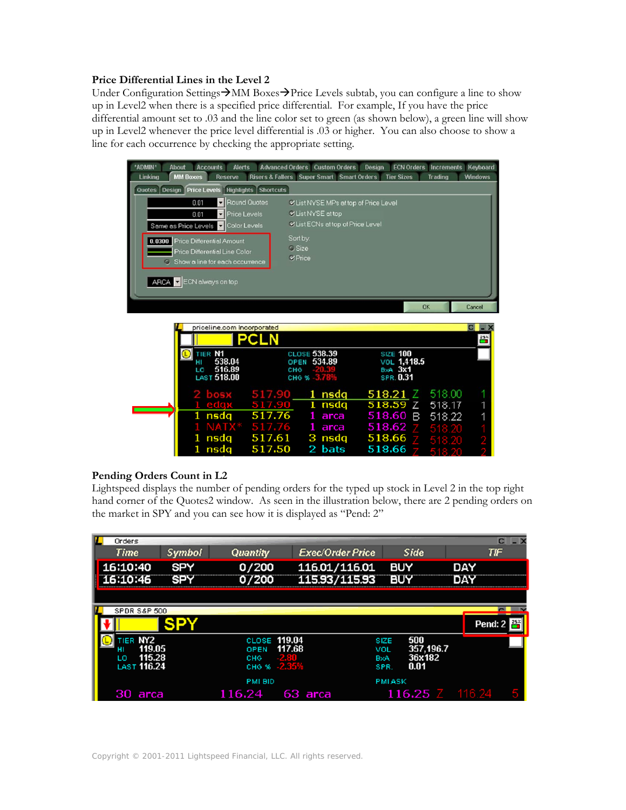## **Price Differential Lines in the Level 2**

Under Configuration Settings $\rightarrow$ MM Boxes $\rightarrow$ Price Levels subtab, you can configure a line to show up in Level2 when there is a specified price differential. For example, If you have the price differential amount set to .03 and the line color set to green (as shown below), a green line will show up in Level2 whenever the price level differential is .03 or higher. You can also choose to show a line for each occurrence by checking the appropriate setting.



# **Pending Orders Count in L2**

Lightspeed displays the number of pending orders for the typed up stock in Level 2 in the top right hand corner of the Quotes2 window. As seen in the illustration below, there are 2 pending orders on the market in SPY and you can see how it is displayed as "Pend: 2"

| Orders                 |               |                     |                         |                               |                     |     | $C = X$                |
|------------------------|---------------|---------------------|-------------------------|-------------------------------|---------------------|-----|------------------------|
| <b>Time</b>            | <b>Symbol</b> | Quantity            | <b>Exec/Order Price</b> |                               | Side                |     | TIF                    |
| 16:10:40               | <b>SPY</b>    | 0/200               | 116.01/116.01           |                               | <b>BUY</b>          | DAY |                        |
| .6:10:46               | SPY           | 07200               | 115.93/115.93           |                               | BUY                 | DAY |                        |
|                        |               |                     |                         |                               |                     |     |                        |
| SPDR S&P 500           |               |                     |                         |                               |                     |     |                        |
|                        |               |                     |                         |                               |                     |     | Pend: $2 \frac{48}{3}$ |
| TIER NY2               |               | CLOSE 119.04        |                         | <b>SIZE</b>                   | 500                 |     |                        |
| 119.05<br>115.28<br>LΩ |               | OPEN<br>CHG<br>2.80 | 117.68                  | VOL<br><b>B</b> <sub>XA</sub> | 357,196.7<br>36x182 |     |                        |
| <b>LAST 116.24</b>     |               | CHG <sub>%</sub>    | $-2.35%$                | SPR.                          | 0.01                |     |                        |
|                        |               | PMI BID             |                         | <b>PMI ASK</b>                |                     |     |                        |
| 30 arca                |               | 116.24              | 63 arca                 |                               | $116.25$ $Z$ 116.24 |     |                        |